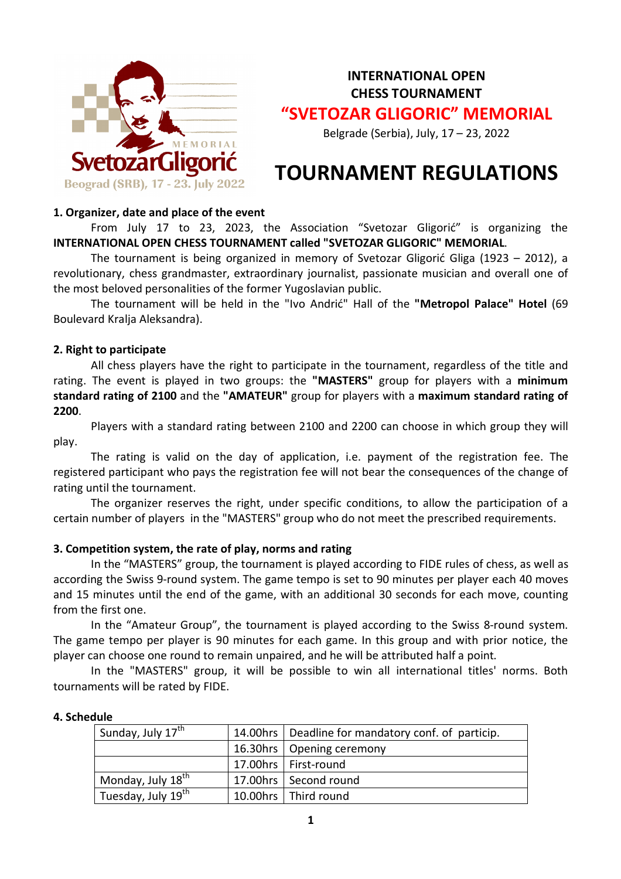

**INTERNATIONAL OPEN CHESS TOURNAMENT "SVETOZAR GLIGORIC" MEMORIAL**

Belgrade (Serbia), July, 17 – 23, 2022

# **TOURNAMENT REGULATIONS**

#### **1. Organizer, date and place of the event**

From July 17 to 23, 2023, the Association "Svetozar Gligorić" is organizing the **INTERNATIONAL OPEN CHESS TOURNAMENT called "SVETOZAR GLIGORIC" MEMORIAL**.

The tournament is being organized in memory of Svetozar Gligorić Gliga (1923 – 2012), a revolutionary, chess grandmaster, extraordinary journalist, passionate musician and overall one of the most beloved personalities of the former Yugoslavian public.

The tournament will be held in the "Ivo Andrić" Hall of the **"Metropol Palace" Hotel** (69 Boulevard Kralja Aleksandra).

## **2. Right to participate**

All chess players have the right to participate in the tournament, regardless of the title and rating. The event is played in two groups: the **"MASTERS"** group for players with a **minimum standard rating of 2100** and the **"AMATEUR"** group for players with a **maximum standard rating of 2200**.

Players with a standard rating between 2100 and 2200 can choose in which group they will play.

The rating is valid on the day of application, i.e. payment of the registration fee. The registered participant who pays the registration fee will not bear the consequences of the change of rating until the tournament.

The organizer reserves the right, under specific conditions, to allow the participation of a certain number of players in the "MASTERS" group who do not meet the prescribed requirements.

## **3. Competition system, the rate of play, norms and rating**

In the "MASTERS" group, the tournament is played according to FIDE rules of chess, as well as according the Swiss 9-round system. The game tempo is set to 90 minutes per player each 40 moves and 15 minutes until the end of the game, with an additional 30 seconds for each move, counting from the first one.

In the "Amateur Group", the tournament is played according to the Swiss 8-round system. The game tempo per player is 90 minutes for each game. In this group and with prior notice, the player can choose one round to remain unpaired, and he will be attributed half a point.

In the "MASTERS" group, it will be possible to win all international titles' norms. Both tournaments will be rated by FIDE.

#### **4. Schedule**

| Sunday, July 17 <sup>th</sup>  | 14.00hrs   Deadline for mandatory conf. of particip. |  |
|--------------------------------|------------------------------------------------------|--|
|                                | 16.30hrs   Opening ceremony                          |  |
|                                | 17.00hrs   First-round                               |  |
| Monday, July 18 <sup>th</sup>  | 17.00hrs   Second round                              |  |
| Tuesday, July 19 <sup>th</sup> | 10.00hrs   Third round                               |  |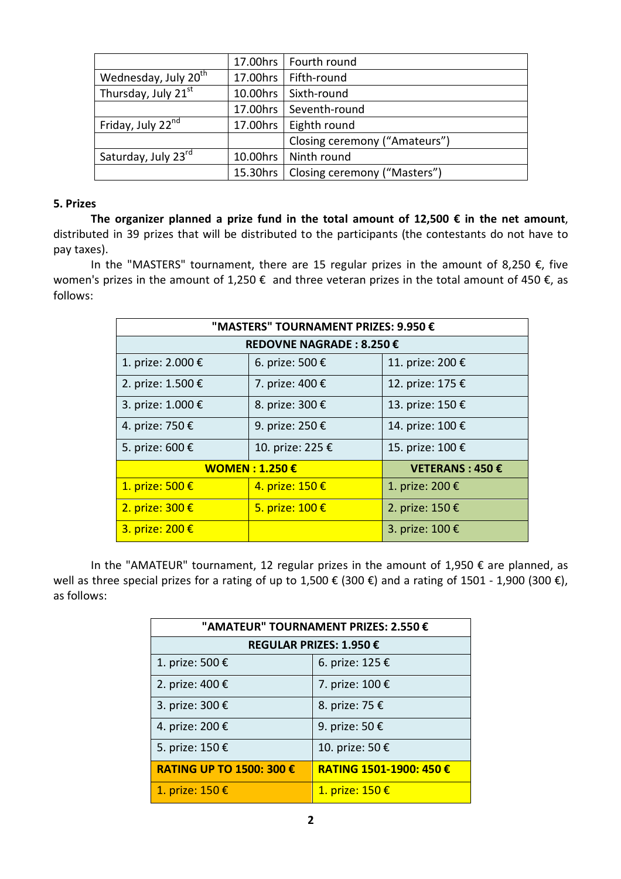|                                  |          | 17.00hrs   Fourth round       |  |
|----------------------------------|----------|-------------------------------|--|
| Wednesday, July 20 <sup>th</sup> | 17.00hrs | Fifth-round                   |  |
| Thursday, July 21 <sup>st</sup>  | 10.00hrs | Sixth-round                   |  |
|                                  | 17.00hrs | Seventh-round                 |  |
| Friday, July 22 <sup>nd</sup>    | 17.00hrs | Eighth round                  |  |
|                                  |          | Closing ceremony ("Amateurs") |  |
| Saturday, July 23rd              | 10.00hrs | Ninth round                   |  |
|                                  | 15.30hrs | Closing ceremony ("Masters")  |  |

#### **5. Prizes**

**The organizer planned a prize fund in the total amount of 12,500 € in the net amount**, distributed in 39 prizes that will be distributed to the participants (the contestants do not have to pay taxes).

In the "MASTERS" tournament, there are 15 regular prizes in the amount of 8,250 €, five women's prizes in the amount of 1,250  $\epsilon$  and three veteran prizes in the total amount of 450  $\epsilon$ , as follows:

| "MASTERS" TOURNAMENT PRIZES: 9.950 € |                  |                  |  |  |  |
|--------------------------------------|------------------|------------------|--|--|--|
| REDOVNE NAGRADE: 8.250 €             |                  |                  |  |  |  |
| 1. prize: 2.000 €                    | 6. prize: 500 €  | 11. prize: 200 € |  |  |  |
| 2. prize: 1.500 €                    | 7. prize: 400 €  | 12. prize: 175 € |  |  |  |
| 3. prize: 1.000 €                    | 8. prize: 300 €  | 13. prize: 150 € |  |  |  |
| 4. prize: 750 €                      | 9. prize: 250 €  | 14. prize: 100 € |  |  |  |
| 5. prize: 600 €                      | 10. prize: 225 € | 15. prize: 100 € |  |  |  |
| <b>WOMEN : 1.250 €</b>               |                  | VETERANS: 450 €  |  |  |  |
| 1. prize: 500 €                      | 4. prize: 150 €  | 1. prize: 200 €  |  |  |  |
| 2. prize: 300 €                      | 5. prize: 100 €  | 2. prize: 150 €  |  |  |  |
| 3. prize: 200 €                      |                  | 3. prize: 100 €  |  |  |  |

In the "AMATEUR" tournament, 12 regular prizes in the amount of 1,950  $\epsilon$  are planned, as well as three special prizes for a rating of up to 1,500 € (300 €) and a rating of 1501 - 1,900 (300 €), as follows:

| "AMATEUR" TOURNAMENT PRIZES: 2.550 € |                        |  |  |  |
|--------------------------------------|------------------------|--|--|--|
| REGULAR PRIZES: 1.950 €              |                        |  |  |  |
| 1. prize: 500 €                      | 6. prize: 125 €        |  |  |  |
| 2. prize: 400 €                      | 7. prize: 100 €        |  |  |  |
| 3. prize: 300 €                      | 8. prize: 75 €         |  |  |  |
| 4. prize: 200 €                      | 9. prize: 50 €         |  |  |  |
| 5. prize: 150 €                      | 10. prize: 50 €        |  |  |  |
| <b>RATING UP TO 1500: 300 €</b>      | RATING 1501-1900: 450€ |  |  |  |
| 1. prize: 150 €                      | 1. prize: 150 €        |  |  |  |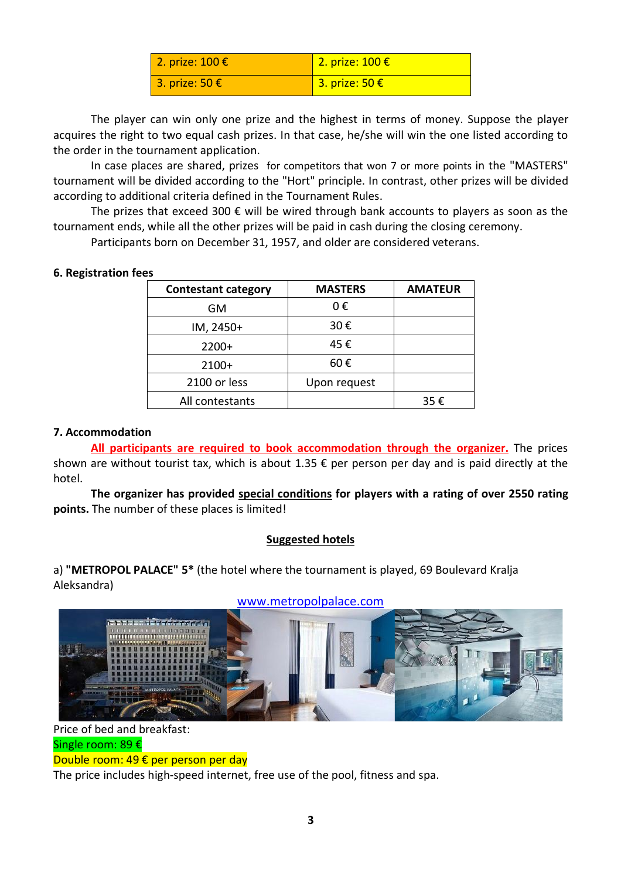| 2. prize: 100 €         | 2. prize: $100 \text{€}$ |
|-------------------------|--------------------------|
| 3. prize: 50 $\epsilon$ | 3. prize: 50 €           |

The player can win only one prize and the highest in terms of money. Suppose the player acquires the right to two equal cash prizes. In that case, he/she will win the one listed according to the order in the tournament application.

In case places are shared, prizes for competitors that won 7 or more points in the "MASTERS" tournament will be divided according to the "Hort" principle. In contrast, other prizes will be divided according to additional criteria defined in the Tournament Rules.

The prizes that exceed 300  $\epsilon$  will be wired through bank accounts to players as soon as the tournament ends, while all the other prizes will be paid in cash during the closing ceremony.

Participants born on December 31, 1957, and older are considered veterans.

| ᇋ                          |                |                |
|----------------------------|----------------|----------------|
| <b>Contestant category</b> | <b>MASTERS</b> | <b>AMATEUR</b> |
| GM                         | 0€             |                |
| IM, 2450+                  | 30€            |                |
| $2200+$                    | 45€            |                |
| $2100+$                    | 60€            |                |
| 2100 or less               | Upon request   |                |
| All contestants            |                | 35€            |
|                            |                |                |

**6. Registration fees**

# **7. Accommodation**

**All participants are required to book accommodation through the organizer.** The prices shown are without tourist tax, which is about 1.35 € per person per day and is paid directly at the hotel.

**The organizer has provided special conditions for players with a rating of over 2550 rating points.** The number of these places is limited!

## **Suggested hotels**

a) **"METROPOL PALACE" 5\*** (the hotel where the tournament is played, 69 Boulevard Kralja Aleksandra)



## www.metropolpalace.com

Price of bed and breakfast: Single room: 89 €

Double room: 49 € per person per day

The price includes high-speed internet, free use of the pool, fitness and spa.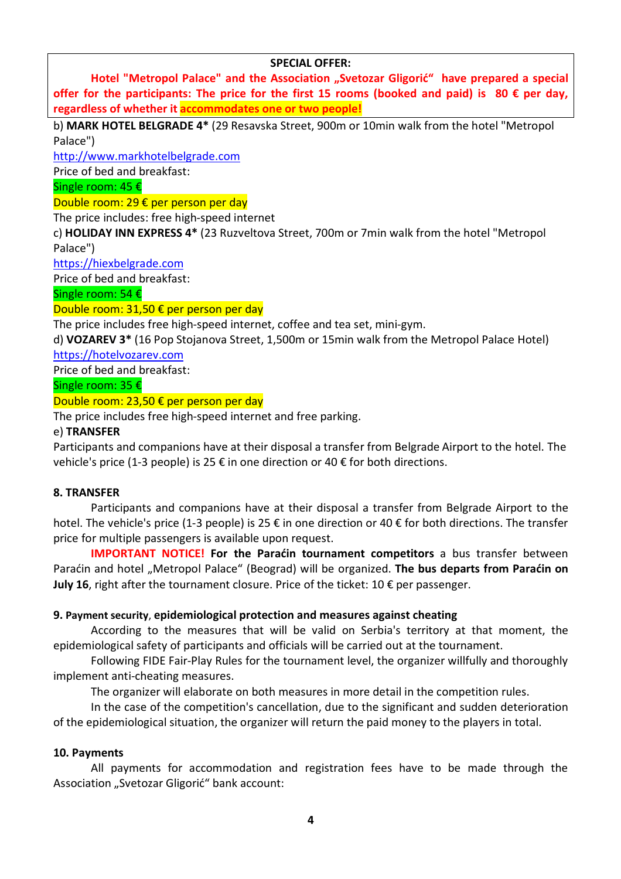#### **SPECIAL OFFER:**

Hotel "Metropol Palace" and the Association "Svetozar Gligorić" have prepared a special **offer for the participants: The price for the first 15 rooms (booked and paid) is 80 € per day, regardless of whether it accommodates one or two people!**

b) **MARK HOTEL BELGRADE 4\*** (29 Resavska Street, 900m or 10min walk from the hotel "Metropol Palace")

http://www.markhotelbelgrade.com

Price of bed and breakfast:

Single room: 45 €

Double room: 29 € per person per day

The price includes: free high-speed internet

c) **HOLIDAY INN EXPRESS 4\*** (23 Ruzveltova Street, 700m or 7min walk from the hotel "Metropol Palace")

https://hiexbelgrade.com

Price of bed and breakfast:

Single room: 54 €

Double room: 31,50 € per person per day

The price includes free high-speed internet, coffee and tea set, mini-gym.

d) **VOZAREV 3\*** (16 Pop Stojanova Street, 1,500m or 15min walk from the Metropol Palace Hotel)

https://hotelvozarev.com

Price of bed and breakfast:

Single room: 35 €

#### Double room: 23,50 € per person per day

The price includes free high-speed internet and free parking.

#### e) **TRANSFER**

Participants and companions have at their disposal a transfer from Belgrade Airport to the hotel. The vehicle's price (1-3 people) is 25  $\epsilon$  in one direction or 40  $\epsilon$  for both directions.

#### **8. TRANSFER**

Participants and companions have at their disposal a transfer from Belgrade Airport to the hotel. The vehicle's price (1-3 people) is 25 € in one direction or 40 € for both directions. The transfer price for multiple passengers is available upon request.

**IMPORTANT NOTICE! For the Paraćin tournament competitors** a bus transfer between Paraćin and hotel "Metropol Palace" (Beograd) will be organized. The bus departs from Paraćin on **July 16**, right after the tournament closure. Price of the ticket: 10 € per passenger.

#### **9. Payment security**, **epidemiological protection and measures against cheating**

According to the measures that will be valid on Serbia's territory at that moment, the epidemiological safety of participants and officials will be carried out at the tournament.

Following FIDE Fair-Play Rules for the tournament level, the organizer willfully and thoroughly implement anti-cheating measures.

The organizer will elaborate on both measures in more detail in the competition rules.

In the case of the competition's cancellation, due to the significant and sudden deterioration of the epidemiological situation, the organizer will return the paid money to the players in total.

#### **10. Payments**

All payments for accommodation and registration fees have to be made through the Association "Svetozar Gligorić" bank account: